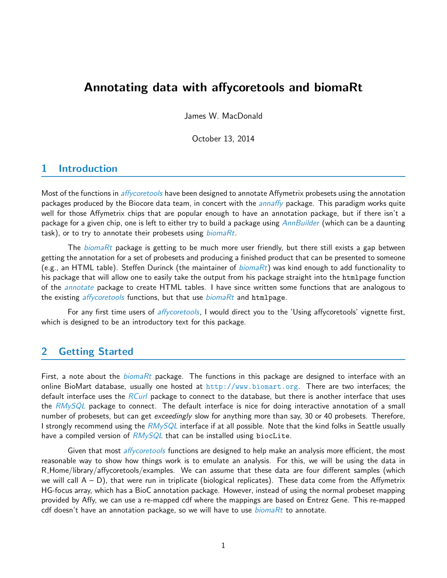# Annotating data with affycoretools and biomaRt

James W. MacDonald

October 13, 2014

## 1 Introduction

Most of the functions in *[affycoretools](http://bioconductor.org/packages/release/bioc/html/affycoretools.html)* have been designed to annotate Affymetrix probesets using the annotation packages produced by the Biocore data team, in concert with the *[annaffy](http://bioconductor.org/packages/release/bioc/html/annaffy.html)* package. This paradigm works quite well for those Affymetrix chips that are popular enough to have an annotation package, but if there isn't a package for a given chip, one is left to either try to build a package using [AnnBuilder](http://bioconductor.org/packages/release/bioc/html/AnnBuilder.html) (which can be a daunting task), or to try to annotate their probesets using [biomaRt](http://bioconductor.org/packages/release/bioc/html/biomaRt.html).

The  $biomark$  package is getting to be much more user friendly, but there still exists a gap between getting the annotation for a set of probesets and producing a finished product that can be presented to someone (e.g., an HTML table). Steffen Durinck (the maintainer of  $biomaRt$ ) was kind enough to add functionality to his package that will allow one to easily take the output from his package straight into the htmlpage function of the *[annotate](http://bioconductor.org/packages/release/bioc/html/annotate.html)* package to create HTML tables. I have since written some functions that are analogous to the existing [affycoretools](http://bioconductor.org/packages/release/bioc/html/affycoretools.html) functions, but that use [biomaRt](http://bioconductor.org/packages/release/bioc/html/biomaRt.html) and htmlpage.

For any first time users of [affycoretools](http://bioconductor.org/packages/release/bioc/html/affycoretools.html), I would direct you to the 'Using affycoretools' vignette first, which is designed to be an introductory text for this package.

## 2 Getting Started

First, a note about the *[biomaRt](http://bioconductor.org/packages/release/bioc/html/biomaRt.html)* package. The functions in this package are designed to interface with an online BioMart database, usually one hosted at <http://www.biomart.org>. There are two interfaces; the default interface uses the [RCurl](http://bioconductor.org/packages/release/bioc/html/RCurl.html) package to connect to the database, but there is another interface that uses the  $RMySQL$  package to connect. The default interface is nice for doing interactive annotation of a small number of probesets, but can get exceedingly slow for anything more than say, 30 or 40 probesets. Therefore, I strongly recommend using the  $RMySQL$  interface if at all possible. Note that the kind folks in Seattle usually have a compiled version of  $RMySQL$  that can be installed using biocLite.

Given that most *[affycoretools](http://bioconductor.org/packages/release/bioc/html/affycoretools.html)* functions are designed to help make an analysis more efficient, the most reasonable way to show how things work is to emulate an analysis. For this, we will be using the data in R Home/library/affycoretools/examples. We can assume that these data are four different samples (which we will call  $A - D$ ), that were run in triplicate (biological replicates). These data come from the Affymetrix HG-focus array, which has a BioC annotation package. However, instead of using the normal probeset mapping provided by Affy, we can use a re-mapped cdf where the mappings are based on Entrez Gene. This re-mapped cdf doesn't have an annotation package, so we will have to use  $biomark$  to annotate.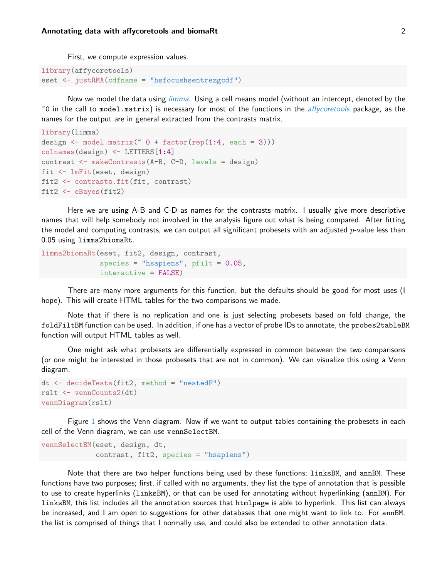First, we compute expression values.

```
library(affycoretools)
eset <- justRMA(cdfname = "hsfocushsentrezgcdf")
```
Now we model the data using *[limma](http://bioconductor.org/packages/release/bioc/html/limma.html)*. Using a cell means model (without an intercept, denoted by the ~0 in the call to model.matrix) is necessary for most of the functions in the *[affycoretools](http://bioconductor.org/packages/release/bioc/html/affycoretools.html)* package, as the names for the output are in general extracted from the contrasts matrix.

```
library(limma)
design \leq model.matrix(\in 0 + factor(rep(1:4, each = 3)))
colnames(design) <- LETTERS[1:4]
contrast <- makeContrasts(A-B, C-D, levels = design)
fit <- lmFit(eset, design)
fit2 <- contrasts.fit(fit, contrast)
fit2 <- eBayes(fit2)
```
Here we are using A-B and C-D as names for the contrasts matrix. I usually give more descriptive names that will help somebody not involved in the analysis figure out what is being compared. After fitting the model and computing contrasts, we can output all significant probesets with an adjusted  $p$ -value less than 0.05 using limma2biomaRt.

```
limma2biomaRt(eset, fit2, design, contrast,
              species = "hsapiens", pfilt = 0.05,interactive = FALSE)
```
There are many more arguments for this function, but the defaults should be good for most uses (I hope). This will create HTML tables for the two comparisons we made.

Note that if there is no replication and one is just selecting probesets based on fold change, the foldFiltBM function can be used. In addition, if one has a vector of probe IDs to annotate, the probes2tableBM function will output HTML tables as well.

One might ask what probesets are differentially expressed in common between the two comparisons (or one might be interested in those probesets that are not in common). We can visualize this using a Venn diagram.

```
dt <- decideTests(fit2, method = "nestedF")
rslt <- vennCounts2(dt)
vennDiagram(rslt)
```
Figure [1](#page-2-0) shows the Venn diagram. Now if we want to output tables containing the probesets in each cell of the Venn diagram, we can use vennSelectBM.

```
vennSelectBM(eset, design, dt,
             contrast, fit2, species = "hsapiens")
```
Note that there are two helper functions being used by these functions; linksBM, and annBM. These functions have two purposes; first, if called with no arguments, they list the type of annotation that is possible to use to create hyperlinks (linksBM), or that can be used for annotating without hyperlinking (annBM). For linksBM, this list includes all the annotation sources that htmlpage is able to hyperlink. This list can always be increased, and I am open to suggestions for other databases that one might want to link to. For annBM, the list is comprised of things that I normally use, and could also be extended to other annotation data.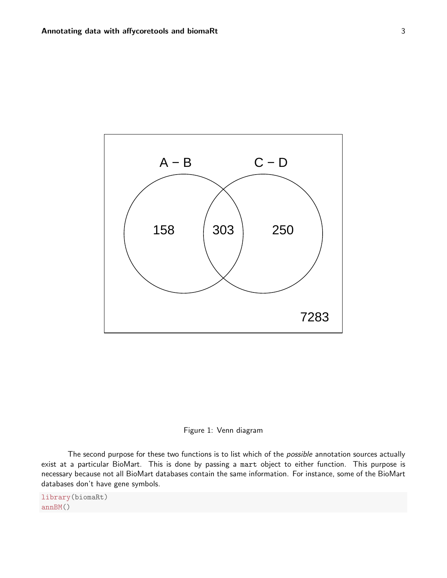

<span id="page-2-0"></span>

The second purpose for these two functions is to list which of the *possible* annotation sources actually exist at a particular BioMart. This is done by passing a mart object to either function. This purpose is necessary because not all BioMart databases contain the same information. For instance, some of the BioMart databases don't have gene symbols.

```
library(biomaRt)
annBM()
```